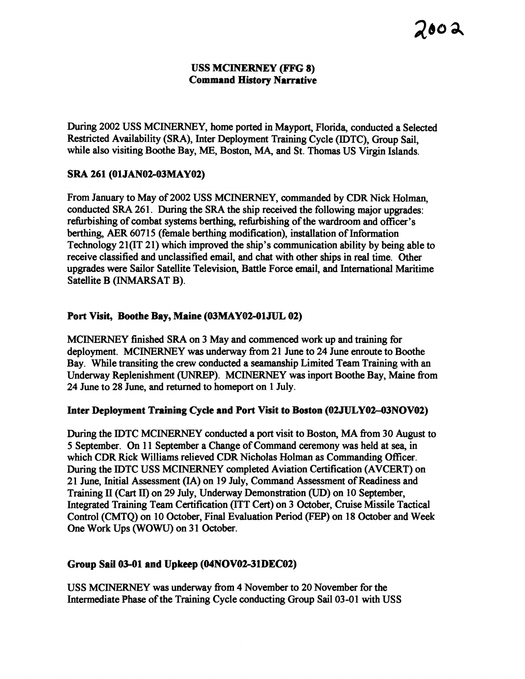### **USS MCINERNEY (FFG 8) Command Historg Narrative**

During 2002 USS MCINERNEY, home ported in Mayport, Florida, conducted a Selected Restricted Availability (SRA), Inter Deployment Training Cycle (IDTC), Group Sail, while also visiting Boothe Bay, ME, Boston, **MA,** and St. Thomas US Virgin Islands.

## **SRA 261 (01 JAN02-03 MAY02)**

From January to May of 2002 USS MCINEXNEY, commanded by CDR Nick Holman, conducted SRA 261. During the SRA the ship received the following major upgrades: refiubishing of combat systems berthing, refurbishing of the wardroom and officer's berthing, AER 60715 (female berthing modification), installation of Information Technology 21(IT 21) which improved the ship's communication ability by being able to receive classified and unclassified email, and chat with other ships in real time. Other upgrades were Sailor Satellite Television, Battle Force ernail, and International Maritime Satellite B (INMARSAT B).

# Port Visit, Boothe Bay, Maine (03MAY02-01JUL 02)

MCINERNEY finished SRA on 3 May and commenced work up and training for deployment. MCINERNEY was underway fiom 21 June to 24 June enroute to Boothe Bay. While transiting the crew conducted a seamanship Limited Team Training with an Underway Replenishment **(UNREP).** MCINERNEY was inport Boothe Bay, Maine fiom 24 June to 28 June, and returned to homeport on 1 July.

## **Inter Deployment Training Cycle and Port Visit to Boston (02JULY02--03NOV02)**

During the IDTC MCINERNEY conducted a port visit to Boston, MA fiom 30 August to 5 September. On 11 September a Change of Command ceremony was held at sea, in which CDR Rick Williams relieved CDR Nicholas Holman as Commanding Officer. During the IDTC USS MCINERNEY completed Aviation Certification (AVCERT) on 21 June, Initial Assessment **(IA)** on 19 July, Command Assessment of Readiness and Training **I1** (Cart **11)** on 29 July, Underway Demonstration (UD) on 10 September, Integrated Training Team Certification (ITT Cert) on 3 October, Cruise Missile Tactical Control (CMTQ) on 10 October, Final Evaluation Period (FEP) on 18 October and Week One Work Ups (WOWU) on 31 October.

## **Group Sail 03-01 and Upkeep (04NOV0231DEC02)**

USS MCINERNEY was underway from 4 November to 20 November for the Intermediate Phase of the Training Cycle conducting Group Sail 03-01 with USS